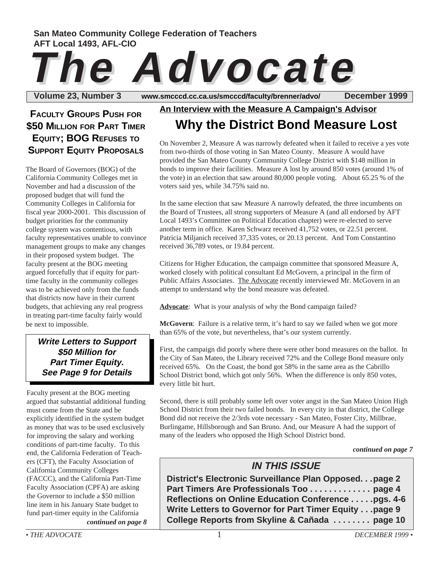### **San Mateo Community College Federation of Teachers AFT Local 1493, AFL-CIO**

# **The Advocate The Advocate**

Volume 23, Number 3 www.smcccd.cc.ca.us/smcccd/faculty/brenner/advo/ December 1999

## **FACULTY GROUPS PUSH FOR \$50 MILLION FOR PART TIMER EQUITY; BOG REFUSES TO SUPPORT EQUITY PROPOSALS**

The Board of Governors (BOG) of the California Community Colleges met in November and had a discussion of the proposed budget that will fund the Community Colleges in California for fiscal year 2000-2001. This discussion of budget priorities for the community college system was contentious, with faculty representatives unable to convince management groups to make any changes in their proposed system budget. The faculty present at the BOG meeting argued forcefully that if equity for parttime faculty in the community colleges was to be achieved only from the funds that districts now have in their current budgets, that achieving any real progress in treating part-time faculty fairly would be next to impossible.

#### **Write Letters to Support \$50 Million for Part Timer Equity. See Page 9 for Details**

*continued on page 8* Faculty present at the BOG meeting argued that substantial additional funding must come from the State and be explicitly identified in the system budget as money that was to be used exclusively for improving the salary and working conditions of part-time faculty. To this end, the California Federation of Teachers (CFT), the Faculty Association of California Community Colleges (FACCC), and the California Part-Time Faculty Association (CPFA) are asking the Governor to include a \$50 million line item in his January State budget to fund part-timer equity in the California

## **Why the District Bond Measure Lost An Interview with the Measure A Campaign's Advisor**

On November 2, Measure A was narrowly defeated when it failed to receive a yes vote from two-thirds of those voting in San Mateo County. Measure A would have provided the San Mateo County Community College District with \$148 million in bonds to improve their facilities. Measure A lost by around 850 votes (around 1% of the vote) in an election that saw around 80,000 people voting. About 65.25 % of the voters said yes, while 34.75% said no.

In the same election that saw Measure A narrowly defeated, the three incumbents on the Board of Trustees, all strong supporters of Measure A (and all endorsed by AFT Local 1493's Committee on Political Education chapter) were re-elected to serve another term in office. Karen Schwarz received 41,752 votes, or 22.51 percent. Patricia Miljanich received 37,335 votes, or 20.13 percent. And Tom Constantino received 36,789 votes, or 19.84 percent.

Citizens for Higher Education, the campaign committee that sponsored Measure A, worked closely with political consultant Ed McGovern, a principal in the firm of Public Affairs Associates. The Advocate recently interviewed Mr. McGovern in an attempt to understand why the bond measure was defeated.

**Advocate**: What is your analysis of why the Bond campaign failed?

**McGovern**: Failure is a relative term, it's hard to say we failed when we got more than 65% of the vote, but nevertheless, that's our system currently.

First, the campaign did poorly where there were other bond measures on the ballot. In the City of San Mateo, the Library received 72% and the College Bond measure only received 65%. On the Coast, the bond got 58% in the same area as the Cabrillo School District bond, which got only 56%. When the difference is only 850 votes, every little bit hurt.

Second, there is still probably some left over voter angst in the San Mateo Union High School District from their two failed bonds. In every city in that district, the College Bond did not receive the 2/3rds vote necessary - San Mateo, Foster City, Millbrae, Burlingame, Hillsborough and San Bruno. And, our Measure A had the support of many of the leaders who opposed the High School District bond.

*continued on page 7*

## **IN THIS ISSUE**

**District's Electronic Surveillance Plan Opposed. . .page 2 Part Timers Are Professionals Too . . . . . . . . . . . . . page 4 Reflections on Online Education Conference . . . . .pgs. 4-6 Write Letters to Governor for Part Timer Equity . . .page 9 College Reports from Skyline & Cañada . . . . . . . . page 10**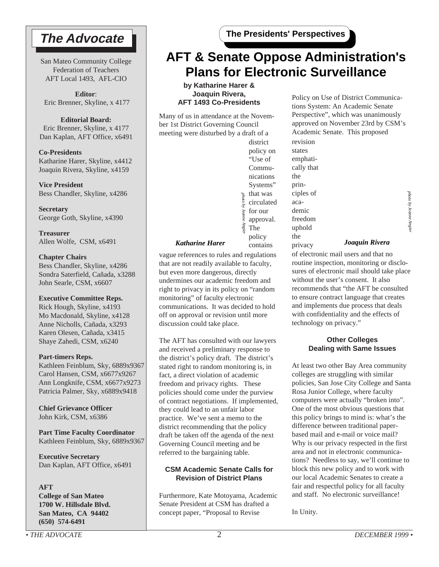## **The Advocate**

San Mateo Community College Federation of Teachers AFT Local 1493, AFL-CIO

**Editor**: Eric Brenner, Skyline, x 4177

#### **Editorial Board:**

Eric Brenner, Skyline, x 4177 Dan Kaplan, AFT Office, x6491

**Co-Presidents** Katharine Harer, Skyline, x4412 Joaquin Rivera, Skyline, x4159

**Vice President** Bess Chandler, Skyline, x4286

**Secretary** George Goth, Skyline, x4390

**Treasurer** Allen Wolfe, CSM, x6491

#### **Chapter Chairs**

Bess Chandler, Skyline, x4286 Sondra Saterfield, Cañada, x3288 John Searle, CSM, x6607

#### **Executive Committee Reps.**

Rick Hough, Skyline, x4193 Mo Macdonald, Skyline, x4128 Anne Nicholls, Cañada, x3293 Karen Olesen, Cañada, x3415 Shaye Zahedi, CSM, x6240

#### **Part-timers Reps.**

Kathleen Feinblum, Sky, 6889x9367 Carol Hansen, CSM, x6677x9267 Ann Longknife, CSM, x6677x9273 Patricia Palmer, Sky, x6889x9418

**Chief Grievance Officer** John Kirk, CSM, x6386

**Part Time Faculty Coordinator** Kathleen Feinblum, Sky, 6889x9367

**Executive Secretary** Dan Kaplan, AFT Office, x6491

#### **AFT**

**College of San Mateo 1700 W. Hillsdale Blvd. San Mateo, CA 94402 (650) 574-6491**

## **AFT & Senate Oppose Administration's Plans for Electronic Surveillance**

**by Katharine Harer & Joaquin Rivera, AFT 1493 Co-Presidents**

Many of us in attendance at the November 1st District Governing Council meeting were disturbed by a draft of a



vague references to rules and regulations that are not readily available to faculty, but even more dangerous, directly undermines our academic freedom and right to privacy in its policy on "random monitoring" of faculty electronic communications. It was decided to hold off on approval or revision until more discussion could take place.

The AFT has consulted with our lawyers and received a preliminary response to the district's policy draft. The district's stated right to random monitoring is, in fact, a direct violation of academic freedom and privacy rights. These policies should come under the purview of contract negotiations. If implemented, they could lead to an unfair labor practice. We've sent a memo to the district recommending that the policy draft be taken off the agenda of the next Governing Council meeting and be referred to the bargaining table.

#### **CSM Academic Senate Calls for Revision of District Plans**

Furthermore, Kate Motoyama, Academic Senate President at CSM has drafted a concept paper, "Proposal to Revise

Policy on Use of District Communications System: An Academic Senate Perspective", which was unanimously approved on November 23rd by CSM's Academic Senate. This proposed revision

states emphatically that the principles of academic freedom uphold the

privacy

#### *Katharine Harer Joaquin Rivera*

of electronic mail users and that no routine inspection, monitoring or disclosures of electronic mail should take place without the user's consent. It also recommends that "the AFT be consulted to ensure contract language that creates and implements due process that deals with confidentiality and the effects of technology on privacy."

#### **Other Colleges Dealing with Same Issues**

At least two other Bay Area community colleges are struggling with similar policies, San Jose City College and Santa Rosa Junior College, where faculty computers were actually "broken into". One of the most obvious questions that this policy brings to mind is: what's the difference between traditional paperbased mail and e-mail or voice mail? Why is our privacy respected in the first area and not in electronic communications? Needless to say, we'll continue to block this new policy and to work with our local Academic Senates to create a fair and respectful policy for all faculty and staff. No electronic surveillance!

In Unity.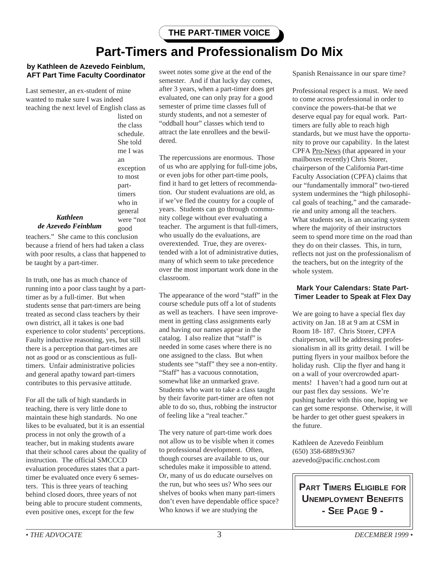## **Part-Timers and Professionalism Do Mix**

#### **by Kathleen de Azevedo Feinblum, AFT Part Time Faculty Coordinator**

Last semester, an ex-student of mine wanted to make sure I was indeed teaching the next level of English class as

> listed on the class schedule. She told me I was an exception to most parttimers who in general were "not

good

#### *Kathleen de Azevedo Feinblum*

teachers." She came to this conclusion because a friend of hers had taken a class with poor results, a class that happened to be taught by a part-timer.

In truth, one has as much chance of running into a poor class taught by a parttimer as by a full-timer. But when students sense that part-timers are being treated as second class teachers by their own district, all it takes is one bad experience to color students' perceptions. Faulty inductive reasoning, yes, but still there is a perception that part-times are not as good or as conscientious as fulltimers. Unfair administrative policies and general apathy toward part-timers contributes to this pervasive attitude.

For all the talk of high standards in teaching, there is very little done to maintain these high standards. No one likes to be evaluated, but it is an essential process in not only the growth of a teacher, but in making students aware that their school cares about the quality of instruction. The official SMCCCD evaluation procedures states that a parttimer be evaluated once every 6 semesters. This is three years of teaching behind closed doors, three years of not being able to procure student comments, even positive ones, except for the few

sweet notes some give at the end of the semester. And if that lucky day comes, after 3 years, when a part-timer does get evaluated, one can only pray for a good semester of prime time classes full of sturdy students, and not a semester of "oddball hour" classes which tend to attract the late enrollees and the bewildered.

The repercussions are enormous. Those of us who are applying for full-time jobs, or even jobs for other part-time pools, find it hard to get letters of recommendation. Our student evaluations are old, as if we've fled the country for a couple of years. Students can go through community college without ever evaluating a teacher. The argument is that full-timers, who usually do the evaluations, are overextended. True, they are overextended with a lot of administrative duties, many of which seem to take precedence over the most important work done in the classroom.

The appearance of the word "staff" in the course schedule puts off a lot of students as well as teachers. I have seen improvement in getting class assignments early and having our names appear in the catalog. I also realize that "staff" is needed in some cases where there is no one assigned to the class. But when students see "staff" they see a non-entity. "Staff" has a vacuous connotation, somewhat like an unmarked grave. Students who want to take a class taught by their favorite part-timer are often not able to do so, thus, robbing the instructor of feeling like a "real teacher."

The very nature of part-time work does not allow us to be visible when it comes to professional development. Often, though courses are available to us, our schedules make it impossible to attend. Or, many of us do educate ourselves on the run, but who sees us? Who sees our shelves of books when many part-timers don't even have dependable office space? Who knows if we are studying the

Spanish Renaissance in our spare time?

Professional respect is a must. We need to come across professional in order to convince the powers-that-be that we deserve equal pay for equal work. Parttimers are fully able to reach high standards, but we must have the opportunity to prove our capability. In the latest CPFA Pro-News (that appeared in your mailboxes recently) Chris Storer, chairperson of the California Part-time Faculty Association (CPFA) claims that our "fundamentally immoral" two-tiered system undermines the "high philosophical goals of teaching," and the camaraderie and unity among all the teachers. What students see, is an uncaring system where the majority of their instructors seem to spend more time on the road than they do on their classes. This, in turn, reflects not just on the professionalism of the teachers, but on the integrity of the whole system.

#### **Mark Your Calendars: State Part-Timer Leader to Speak at Flex Day**

We are going to have a special flex day activity on Jan. 18 at 9 am at CSM in Room 18- 187. Chris Storer, CPFA chairperson, will be addressing professionalism in all its gritty detail. I will be putting flyers in your mailbox before the holiday rush. Clip the flyer and hang it on a wall of your overcrowded apartments! I haven't had a good turn out at our past flex day sessions. We're pushing harder with this one, hoping we can get some response. Otherwise, it will be harder to get other guest speakers in the future.

Kathleen de Azevedo Feinblum (650) 358-6889x9367 azevedo@pacific.cnchost.com

**PART TIMERS ELIGIBLE FOR UNEMPLOYMENT BENEFITS - SEE PAGE 9 -**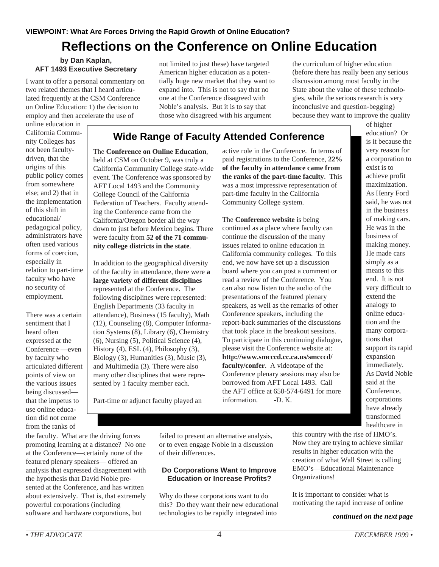## **Reflections on the Conference on Online Education**

#### **by Dan Kaplan, AFT 1493 Executive Secretary**

I want to offer a personal commentary on two related themes that I heard articulated frequently at the CSM Conference on Online Education: 1) the decision to employ and then accelerate the use of

online education in California Community Colleges has not been facultydriven, that the origins of this public policy comes from somewhere else; and 2) that in the implementation of this shift in educational/ pedagogical policy, administrators have often used various forms of coercion, especially in relation to part-time faculty who have no security of employment.

There was a certain sentiment that I heard often expressed at the Conference —even by faculty who articulated different points of view on the various issues being discussed that the impetus to use online education did not come from the ranks of

not limited to just these) have targeted American higher education as a potentially huge new market that they want to expand into. This is not to say that no one at the Conference disagreed with Noble's analysis. But it is to say that those who disagreed with his argument

the curriculum of higher education (before there has really been any serious discussion among most faculty in the State about the value of these technologies, while the serious research is very inconclusive and question-begging) because they want to improve the quality

## **Wide Range of Faculty Attended Conference**

The **Conference on Online Education**, held at CSM on October 9, was truly a California Community College state-wide event. The Conference was sponsored by AFT Local 1493 and the Community College Council of the California Federation of Teachers. Faculty attending the Conference came from the California/Oregon border all the way down to just before Mexico begins. There were faculty from **52 of the 71 community college districts in the state**.

In addition to the geographical diversity of the faculty in attendance, there were **a large variety of different disciplines** represented at the Conference. The following disciplines were represented: English Departments (33 faculty in attendance), Business (15 faculty), Math (12), Counseling (8), Computer Information Systems (8), Library (6), Chemistry (6), Nursing (5), Political Science (4), History (4), ESL (4), Philosophy (3), Biology (3), Humanities (3), Music (3), and Multimedia (3). There were also many other disciplines that were represented by 1 faculty member each.

active role in the Conference. In terms of paid registrations to the Conference, **22% of the faculty in attendance came from the ranks of the part-time faculty**. This was a most impressive representation of part-time faculty in the California Community College system.

The **Conference website** is being continued as a place where faculty can continue the discussion of the many issues related to online education in California community colleges. To this end, we now have set up a discussion board where you can post a comment or read a review of the Conference. You can also now listen to the audio of the presentations of the featured plenary speakers, as well as the remarks of other Conference speakers, including the report-back summaries of the discussions that took place in the breakout sessions. To participate in this continuing dialogue, please visit the Conference website at: **http://www.smcccd.cc.ca.us/smcccd/ faculty/confer**. A videotape of the Conference plenary sessions may also be borrowed from AFT Local 1493. Call the AFT office at 650-574-6491 for more information. -D. K.

of higher education? Or is it because the very reason for a corporation to exist is to achieve profit maximization. As Henry Ford said, he was not in the business of making cars. He was in the business of making money. He made cars simply as a means to this end. It is not very difficult to extend the analogy to online education and the many corporations that support its rapid expansion immediately. As David Noble said at the Conference, corporations have already transformed healthcare in

Part-time or adjunct faculty played an

the faculty. What are the driving forces promoting learning at a distance? No one at the Conference—certainly none of the featured plenary speakers— offered an analysis that expressed disagreement with the hypothesis that David Noble presented at the Conference, and has written about extensively. That is, that extremely powerful corporations (including software and hardware corporations, but

failed to present an alternative analysis, or to even engage Noble in a discussion of their differences.

#### **Do Corporations Want to Improve Education or Increase Profits?**

Why do these corporations want to do this? Do they want their new educational technologies to be rapidly integrated into

this country with the rise of HMO's. Now they are trying to achieve similar results in higher education with the creation of what Wall Street is calling EMO's—Educational Maintenance Organizations!

It is important to consider what is motivating the rapid increase of online

#### *continued on the next page*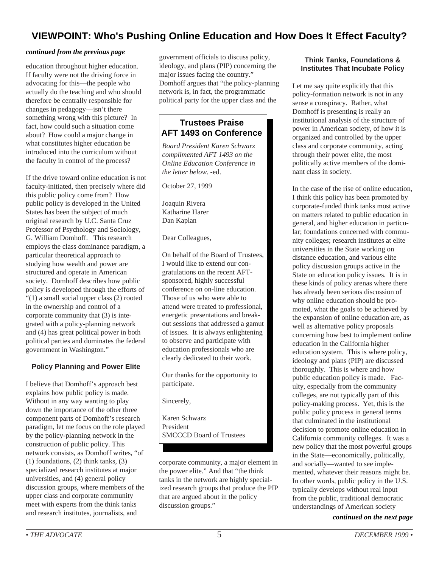## **VIEWPOINT: Who's Pushing Online Education and How Does It Effect Faculty?**

#### *continued from the previous page*

education throughout higher education. If faculty were not the driving force in advocating for this—the people who actually do the teaching and who should therefore be centrally responsible for changes in pedagogy—isn't there something wrong with this picture? In fact, how could such a situation come about? How could a major change in what constitutes higher education be introduced into the curriculum without the faculty in control of the process?

If the drive toward online education is not faculty-initiated, then precisely where did this public policy come from? How public policy is developed in the United States has been the subject of much original research by U.C. Santa Cruz Professor of Psychology and Sociology, G. William Domhoff. This research employs the class dominance paradigm, a particular theoretical approach to studying how wealth and power are structured and operate in American society. Domhoff describes how public policy is developed through the efforts of "(1) a small social upper class (2) rooted in the ownership and control of a corporate community that (3) is integrated with a policy-planning network and (4) has great political power in both political parties and dominates the federal government in Washington."

#### **Policy Planning and Power Elite**

I believe that Domhoff's approach best explains how public policy is made. Without in any way wanting to play down the importance of the other three component parts of Domhoff's research paradigm, let me focus on the role played by the policy-planning network in the construction of public policy. This network consists, as Domhoff writes, "of (1) foundations, (2) think tanks, (3) specialized research institutes at major universities, and (4) general policy discussion groups, where members of the upper class and corporate community meet with experts from the think tanks and research institutes, journalists, and

government officials to discuss policy, ideology, and plans (PIP) concerning the major issues facing the country." Domhoff argues that "the policy-planning network is, in fact, the programmatic political party for the upper class and the

### **Trustees Praise AFT 1493 on Conference**

*Board President Karen Schwarz complimented AFT 1493 on the Online Education Conference in the letter below*. -ed.

October 27, 1999

Joaquin Rivera Katharine Harer Dan Kaplan

Dear Colleagues,

On behalf of the Board of Trustees, I would like to extend our congratulations on the recent AFTsponsored, highly successful conference on on-line education. Those of us who were able to attend were treated to professional, energetic presentations and breakout sessions that addressed a gamut of issues. It is always enlightening to observe and participate with education professionals who are clearly dedicated to their work.

Our thanks for the opportunity to participate.

Sincerely,

Karen Schwarz President SMCCCD Board of Trustees

corporate community, a major element in the power elite." And that "the think tanks in the network are highly specialized research groups that produce the PIP that are argued about in the policy discussion groups."

#### **Think Tanks, Foundations & Institutes That Incubate Policy**

Let me say quite explicitly that this policy-formation network is not in any sense a conspiracy. Rather, what Domhoff is presenting is really an institutional analysis of the structure of power in American society, of how it is organized and controlled by the upper class and corporate community, acting through their power elite, the most politically active members of the dominant class in society.

In the case of the rise of online education, I think this policy has been promoted by corporate-funded think tanks most active on matters related to public education in general, and higher education in particular; foundations concerned with community colleges; research institutes at elite universities in the State working on distance education, and various elite policy discussion groups active in the State on education policy issues. It is in these kinds of policy arenas where there has already been serious discussion of why online education should be promoted, what the goals to be achieved by the expansion of online education are, as well as alternative policy proposals concerning how best to implement online education in the California higher education system. This is where policy, ideology and plans (PIP) are discussed thoroughly. This is where and how public education policy is made. Faculty, especially from the community colleges, are not typically part of this policy-making process. Yet, this is the public policy process in general terms that culminated in the institutional decision to promote online education in California community colleges. It was a new policy that the most powerful groups in the State—economically, politically, and socially—wanted to see implemented, whatever their reasons might be. In other words, public policy in the U.S. typically develops without real input from the public, traditional democratic understandings of American society

*continued on the next page*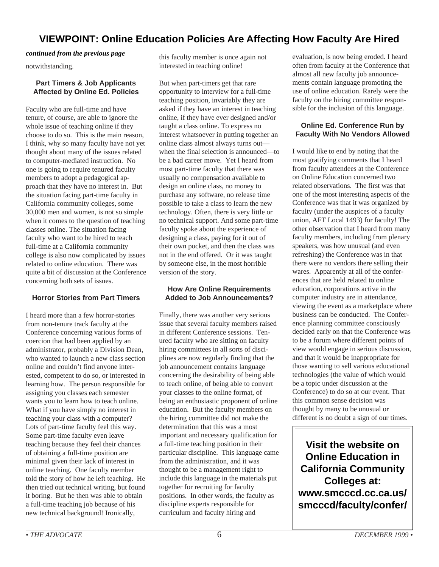## **VIEWPOINT: Online Education Policies Are Affecting How Faculty Are Hired**

#### *continued from the previous page*

notwithstanding.

#### **Part Timers & Job Applicants Affected by Online Ed. Policies**

Faculty who are full-time and have tenure, of course, are able to ignore the whole issue of teaching online if they choose to do so. This is the main reason, I think, why so many faculty have not yet thought about many of the issues related to computer-mediated instruction. No one is going to require tenured faculty members to adopt a pedagogical approach that they have no interest in. But the situation facing part-time faculty in California community colleges, some 30,000 men and women, is not so simple when it comes to the question of teaching classes online. The situation facing faculty who want to be hired to teach full-time at a California community college is also now complicated by issues related to online education. There was quite a bit of discussion at the Conference concerning both sets of issues.

#### **Horror Stories from Part Timers**

I heard more than a few horror-stories from non-tenure track faculty at the Conference concerning various forms of coercion that had been applied by an administrator, probably a Division Dean, who wanted to launch a new class section online and couldn't find anyone interested, competent to do so, or interested in learning how. The person responsible for assigning you classes each semester wants you to learn how to teach online. What if you have simply no interest in teaching your class with a computer? Lots of part-time faculty feel this way. Some part-time faculty even leave teaching because they feel their chances of obtaining a full-time position are minimal given their lack of interest in online teaching. One faculty member told the story of how he left teaching. He then tried out technical writing, but found it boring. But he then was able to obtain a full-time teaching job because of his new technical background! Ironically,

this faculty member is once again not interested in teaching online!

But when part-timers get that rare opportunity to interview for a full-time teaching position, invariably they are asked if they have an interest in teaching online, if they have ever designed and/or taught a class online. To express no interest whatsoever in putting together an online class almost always turns out when the final selection is announced—to be a bad career move. Yet I heard from most part-time faculty that there was usually no compensation available to design an online class, no money to purchase any software, no release time possible to take a class to learn the new technology. Often, there is very little or no technical support. And some part-time faculty spoke about the experience of designing a class, paying for it out of their own pocket, and then the class was not in the end offered. Or it was taught by someone else, in the most horrible version of the story.

#### **How Are Online Requirements Added to Job Announcements?**

Finally, there was another very serious issue that several faculty members raised in different Conference sessions. Tenured faculty who are sitting on faculty hiring committees in all sorts of disciplines are now regularly finding that the job announcement contains language concerning the desirability of being able to teach online, of being able to convert your classes to the online format, of being an enthusiastic proponent of online education. But the faculty members on the hiring committee did not make the determination that this was a most important and necessary qualification for a full-time teaching position in their particular discipline. This language came from the administration, and it was thought to be a management right to include this language in the materials put together for recruiting for faculty positions. In other words, the faculty as discipline experts responsible for curriculum and faculty hiring and

evaluation, is now being eroded. I heard often from faculty at the Conference that almost all new faculty job announcements contain language promoting the use of online education. Rarely were the faculty on the hiring committee responsible for the inclusion of this language.

#### **Online Ed. Conference Run by Faculty With No Vendors Allowed**

I would like to end by noting that the most gratifying comments that I heard from faculty attendees at the Conference on Online Education concerned two related observations. The first was that one of the most interesting aspects of the Conference was that it was organized by faculty (under the auspices of a faculty union, AFT Local 1493) for faculty! The other observation that I heard from many faculty members, including from plenary speakers, was how unusual (and even refreshing) the Conference was in that there were no vendors there selling their wares. Apparently at all of the conferences that are held related to online education, corporations active in the computer industry are in attendance, viewing the event as a marketplace where business can be conducted. The Conference planning committee consciously decided early on that the Conference was to be a forum where different points of view would engage in serious discussion, and that it would be inappropriate for those wanting to sell various educational technologies (the value of which would be a topic under discussion at the Conference) to do so at our event. That this common sense decision was thought by many to be unusual or different is no doubt a sign of our times.

**Visit the website on Online Education in California Community Colleges at: www.smcccd.cc.ca.us/ smcccd/faculty/confer/**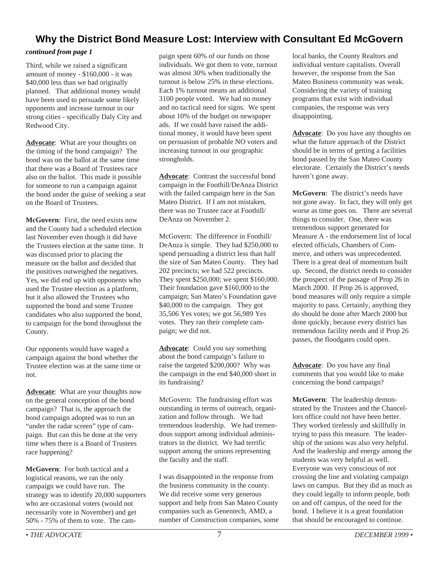## **Why the District Bond Measure Lost: Interview with Consultant Ed McGovern**

#### *continued from page 1*

Third, while we raised a significant amount of money - \$160,000 - it was \$40,000 less than we had originally planned. That additional money would have been used to persuade some likely opponents and increase turnout in our strong cities - specifically Daly City and Redwood City.

**Advocate**: What are your thoughts on the timing of the bond campaign? The bond was on the ballot at the same time that there was a Board of Trustees race also on the ballot. This made it possible for someone to run a campaign against the bond under the guise of seeking a seat on the Board of Trustees.

**McGovern**: First, the need exists now and the County had a scheduled election last November even though it did have the Trustees election at the same time. It was discussed prior to placing the measure on the ballot and decided that the positives outweighed the negatives. Yes, we did end up with opponents who used the Trustee election as a platform, but it also allowed the Trustees who supported the bond and some Trustee candidates who also supported the bond, to campaign for the bond throughout the County.

Our opponents would have waged a campaign against the bond whether the Trustee election was at the same time or not.

**Advocate**: What are your thoughts now on the general conception of the bond campaign? That is, the approach the bond campaign adopted was to run an "under the radar screen" type of campaign. But can this be done at the very time when there is a Board of Trustees race happening?

**McGovern**: For both tactical and a logistical reasons, we ran the only campaign we could have run. The strategy was to identify 20,000 supporters who are occasional voters (would not necessarily vote in November) and get 50% - 75% of them to vote. The campaign spent 60% of our funds on those individuals. We got them to vote, turnout was almost 30% when traditionally the turnout is below 25% in these elections. Each 1% turnout means an additional 3100 people voted. We had no money and no tactical need for signs. We spent about 10% of the budget on newspaper ads. If we could have raised the additional money, it would have been spent on persuasion of probable NO voters and increasing turnout in our geographic strongholds.

**Advocate**: Contrast the successful bond campaign in the Foothill/DeAnza District with the failed campaign here in the San Mateo District. If I am not mistaken, there was no Trustee race at Foothill/ DeAnza on November 2.

McGovern: The difference in Foothill/ DeAnza is simple. They had \$250,000 to spend persuading a district less than half the size of San Mateo County. They had 202 precincts; we had 522 precincts. They spent \$250,000; we spent \$160,000. Their foundation gave \$160,000 to the campaign; San Mateo's Foundation gave \$40,000 to the campaign. They got 35,506 Yes votes; we got 56,989 Yes votes. They ran their complete campaign; we did not.

**Advocate**: Could you say something about the bond campaign's failure to raise the targeted \$200,000? Why was the campaign in the end \$40,000 short in its fundraising?

McGovern: The fundraising effort was outstanding in terms of outreach, organization and follow through. We had tremendous leadership. We had tremendous support among individual administrators in the district. We had terrific support among the unions representing the faculty and the staff.

I was disappointed in the response from the business community in the county. We did receive some very generous support and help from San Mateo County companies such as Genentech, AMD, a number of Construction companies, some local banks, the County Realtors and individual venture capitalists. Overall however, the response from the San Mateo Business community was weak. Considering the variety of training programs that exist with individual companies, the response was very disappointing.

**Advocate**: Do you have any thoughts on what the future approach of the District should be in terms of getting a facilities bond passed by the San Mateo County electorate. Certainly the District's needs haven't gone away.

**McGovern**: The district's needs have not gone away. In fact, they will only get worse as time goes on. There are several things to consider. One, there was tremendous support generated for Measure A - the endorsement list of local elected officials, Chambers of Commerce, and others was unprecedented. There is a great deal of momentum built up. Second, the district needs to consider the prospect of the passage of Prop 26 in March 2000. If Prop 26 is approved, bond measures will only require a simple majority to pass. Certainly, anything they do should be done after March 2000 but done quickly, because every district has tremendous facility needs and if Prop 26 passes, the floodgates could open.

**Advocate**: Do you have any final comments that you would like to make concerning the bond campaign?

**McGovern**: The leadership demonstrated by the Trustees and the Chancellors office could not have been better. They worked tirelessly and skillfully in trying to pass this measure. The leadership of the unions was also very helpful. And the leadership and energy among the students was very helpful as well. Everyone was very conscious of not crossing the line and violating campaign laws on campus. But they did as much as they could legally to inform people, both on and off campus, of the need for the bond. I believe it is a great foundation that should be encouraged to continue.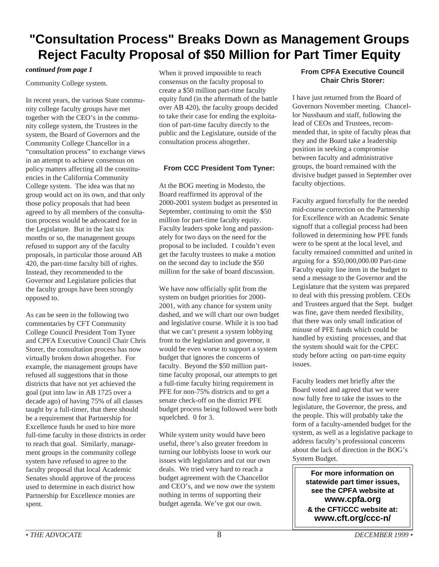## **"Consultation Process" Breaks Down as Management Groups Reject Faculty Proposal of \$50 Million for Part Timer Equity**

#### *continued from page 1*

Community College system.

In recent years, the various State community college faculty groups have met together with the CEO's in the community college system, the Trustees in the system, the Board of Governors and the Community College Chancellor in a "consultation process" to exchange views in an attempt to achieve consensus on policy matters affecting all the constituencies in the California Community College system. The idea was that no group would act on its own, and that only those policy proposals that had been agreed to by all members of the consultation process would be advocated for in the Legislature. But in the last six months or so, the management groups refused to support any of the faculty proposals, in particular those around AB 420, the part-time faculty bill of rights. Instead, they recommended to the Governor and Legislature policies that the faculty groups have been strongly opposed to.

As can be seen in the following two commentaries by CFT Community College Council President Tom Tyner and CPFA Executive Council Chair Chris Storer, the consultation process has now virtually broken down altogether. For example, the management groups have refused all suggestions that in those districts that have not yet achieved the goal (put into law in AB 1725 over a decade ago) of having 75% of all classes taught by a full-timer, that there should be a requirement that Partnership for Excellence funds be used to hire more full-time faculty in those districts in order to reach that goal. Similarly, management groups in the community college system have refused to agree to the faculty proposal that local Academic Senates should approve of the process used to determine in each district how Partnership for Excellence monies are spent.

When it proved impossible to reach consensus on the faculty proposal to create a \$50 million part-time faculty equity fund (in the aftermath of the battle over AB 420), the faculty groups decided to take their case for ending the exploitation of part-time faculty directly to the public and the Legislature, outside of the consultation process altogether.

#### **From CCC President Tom Tyner:**

At the BOG meeting in Modesto, the Board reaffirmed its approval of the 2000-2001 system budget as presented in September, continuing to omit the \$50 million for part-time faculty equity. Faculty leaders spoke long and passionately for two days on the need for the proposal to be included. I couldn't even get the faculty trustees to make a motion on the second day to include the \$50 million for the sake of board discussion.

We have now officially split from the system on budget priorities for 2000- 2001, with any chance for system unity dashed, and we will chart our own budget and legislative course. While it is too bad that we can't present a system lobbying front to the legislation and governor, it would be even worse to support a system budget that ignores the concerns of faculty. Beyond the \$50 million parttime faculty proposal, our attempts to get a full-time faculty hiring requirement in PFE for non-75% districts and to get a senate check-off on the district PFE budget process being followed were both squelched. 0 for 3.

While system unity would have been useful, there's also greater freedom in turning our lobbyists loose to work our issues with legislators and cut our own deals. We tried very hard to reach a budget agreement with the Chancellor and CEO's, and we now owe the system nothing in terms of supporting their budget agenda. We've got our own.

#### **From CPFA Executive Council Chair Chris Storer:**

I have just returned from the Board of Governors November meeting. Chancellor Nussbaum and staff, following the lead of CEOs and Trustees, recommended that, in spite of faculty pleas that they and the Board take a leadership position in seeking a compromise between faculty and administrative groups, the board remained with the divisive budget passed in September over faculty objections.

Faculty argued forcefully for the needed mid-course correction on the Partnership for Excellence with an Academic Senate signoff that a collegial process had been followed in determining how PFE funds were to be spent at the local level, and faculty remained committed and united in arguing for a \$50,000,000.00 Part-time Faculty equity line item in the budget to send a message to the Governor and the Legislature that the system was prepared to deal with this pressing problem. CEOs and Trustees argued that the Sept. budget was fine, gave them needed flexibility, that there was only small indication of misuse of PFE funds which could be handled by existing processes, and that the system should wait for the CPEC study before acting on part-time equity issues.

Faculty leaders met briefly after the Board voted and agreed that we were now fully free to take the issues to the legislature, the Governor, the press, and the people. This will probably take the form of a faculty-amended budget for the system, as well as a legislative package to address faculty's professional concerns about the lack of direction in the BOG's System Budget.

**For more information on statewide part timer issues, see the CPFA website at www.cpfa.org & the CFT/CCC website at: www.cft.org/ccc-n/**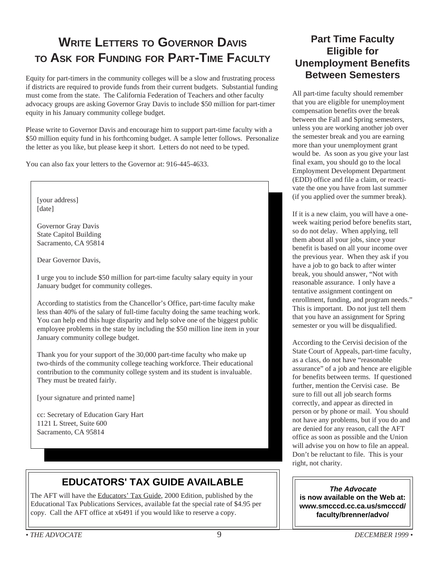## **WRITE LETTERS TO GOVERNOR DAVIS TO ASK FOR FUNDING FOR PART-TIME FACULTY**

Equity for part-timers in the community colleges will be a slow and frustrating process if districts are required to provide funds from their current budgets. Substantial funding must come from the state. The California Federation of Teachers and other faculty advocacy groups are asking Governor Gray Davis to include \$50 million for part-timer equity in his January community college budget.

Please write to Governor Davis and encourage him to support part-time faculty with a \$50 million equity fund in his forthcoming budget. A sample letter follows. Personalize the letter as you like, but please keep it short. Letters do not need to be typed.

You can also fax your letters to the Governor at: 916-445-4633.



I urge you to include \$50 million for part-time faculty salary equity in your January budget for community colleges.

According to statistics from the Chancellor's Office, part-time faculty make less than 40% of the salary of full-time faculty doing the same teaching work. You can help end this huge disparity and help solve one of the biggest public employee problems in the state by including the \$50 million line item in your January community college budget.

Thank you for your support of the 30,000 part-time faculty who make up two-thirds of the community college teaching workforce. Their educational contribution to the community college system and its student is invaluable. They must be treated fairly.

[your signature and printed name]

cc: Secretary of Education Gary Hart 1121 L Street, Suite 600 Sacramento, CA 95814

## **EDUCATORS' TAX GUIDE AVAILABLE**

The AFT will have the Educators' Tax Guide, 2000 Edition, published by the Educational Tax Publications Services, available fat the special rate of \$4.95 per copy. Call the AFT office at x6491 if you would like to reserve a copy.

## **Part Time Faculty Eligible for Unemployment Benefits Between Semesters**

All part-time faculty should remember that you are eligible for unemployment compensation benefits over the break between the Fall and Spring semesters, unless you are working another job over the semester break and you are earning more than your unemployment grant would be. As soon as you give your last final exam, you should go to the local Employment Development Department (EDD) office and file a claim, or reactivate the one you have from last summer (if you applied over the summer break).

If it is a new claim, you will have a oneweek waiting period before benefits start, so do not delay. When applying, tell them about all your jobs, since your benefit is based on all your income over the previous year. When they ask if you have a job to go back to after winter break, you should answer, "Not with reasonable assurance. I only have a tentative assignment contingent on enrollment, funding, and program needs." This is important. Do not just tell them that you have an assignment for Spring semester or you will be disqualified.

According to the Cervisi decision of the State Court of Appeals, part-time faculty, as a class, do not have "reasonable assurance" of a job and hence are eligible for benefits between terms. If questioned further, mention the Cervisi case. Be sure to fill out all job search forms correctly, and appear as directed in person or by phone or mail. You should not have any problems, but if you do and are denied for any reason, call the AFT office as soon as possible and the Union will advise you on how to file an appeal. Don't be reluctant to file. This is your right, not charity.

**The Advocate is now available on the Web at: www.smcccd.cc.ca.us/smcccd/ faculty/brenner/advo/**